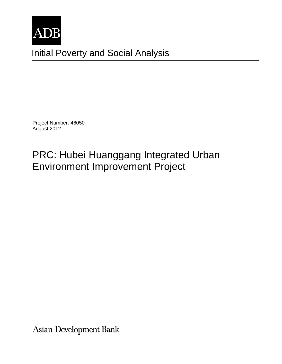

Initial Poverty and Social Analysis

Project Number: 46050 August 2012

# PRC: Hubei Huanggang Integrated Urban Environment Improvement Project

Asian Development Bank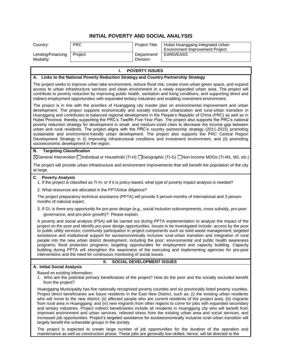## **INITIAL POVERTY AND SOCIAL ANALYSIS**

| Country:                       | <b>PRC</b> | Project Title:           | Hubei Huanggang Integrated Urban<br>Environment Improvement Project |
|--------------------------------|------------|--------------------------|---------------------------------------------------------------------|
| Lending/Financing<br>Modality: | Proiect    | Department/<br>Division: | EARD/EASS                                                           |

## **I. POVERTY ISSUES**

## **A. Links to the National Poverty Reduction Strategy and Country Partnership Strategy**

The project seeks to improve urban lake environment, reduce flood risk, create more urban green space, and expand access to urban infrastructure services and clean environment in a newly expanded urban area. The project will contribute to poverty reduction by improving public health, sanitation and living conditions, and supporting direct and indirect employment opportunities with expanded tertiary industries and enabling investment environment.

The project is in line with the priorities of Huanggang city master plan on environmental improvement and urban development. The project supports economically and socially inclusive urbanization and rural-urban transition in Huanggang and contributes to balanced regional development in the People's Republic of China (PRC) as well as in Hubei Province, thereby supporting the PRC's Twelfth Five-Year Plan. The project also supports the PRC's national poverty reduction strategy for development in small- and medium-sized cities to decrease the income gap between urban and rural residents. The project aligns with the PRC's country partnership strategy (2011-2015) promoting sustainable and environment-friendly urban development. The project also supports the PRC Central Region Development Strategy in (i) improving infrastructural conditions and investment environment, and (ii) promoting socioeconomic development in the region.

## **B. Targeting Classification**

General Intervention Individual or Household (TI-H) Geographic (TI-G) Non-Income MDGs (TI-M1, M2, etc.)

The project will provide urban infrastructure and environment improvements that will benefit the population of the city at large.

### **C. Poverty Analysis**

1. If the project is classified as TI-H, or if it is policy-based, what type of poverty impact analysis is needed?

2. What resources are allocated in the PPTA/due diligence?

The project preparatory technical assistance (PPTA) will provide 3 person-months of international and 3 personmonths of national expert.

3. If GI, is there any opportunity for pro-poor design (e.g., social inclusion subcomponents, cross subsidy, pro-poor governance, and pro-poor growth)? Please explain.

A poverty and social analysis (PSA) will be carried out during PPTA implementation to analyze the impact of the project on the poor and identify pro-poor design opportunities. Issues to be investigated include: access by the poor to public utility services; community participation in project components such as solid waste management; targeted assistance and institutional support for socioeconomically inclusive rural-urban transition and integration of rural people into the new urban district development, including the poor; environmental and public health awareness programs; flood protection programs; targeting opportunities for employment and capacity building. Capacity building during PPTA will strengthen the awareness of the executing and implementing agencies for pro-poor interventions and the need for continuous monitoring of social issues.

## **A. Initial Social Analysis**

## **II. SOCIAL DEVELOPMENT ISSUES**

Based on existing information:

1. Who are the potential primary beneficiaries of the project? How do the poor and the socially excluded benefit from the project?

Huanggang Municipality has five nationally recognized poverty counties and six provincially listed poverty counties. Project direct beneficiaries are future residents in the East New District, such as: (i) the existing urban residents who will move to the new district; (ii) affected people who are current residents of the project area; (iii) migrants from rural area in Huanggang; and (iv) new migrants from other regions to come for jobs with expanded secondary and tertiary industries. Project indirect beneficiaries include all residents in Huanggang city who will benefit from improved environment and urban services, relieved stress from the existing urban area and social services, and increased job opportunities. Project's targeted assistance for socioeconomically inclusive rural-urban transition will largely benefit the vulnerable groups in the society.

The project is expected to create large number of job opportunities for the duration of the operation and maintenance as well as construction phase. These jobs are generally low-skilled, hence, will be directed to the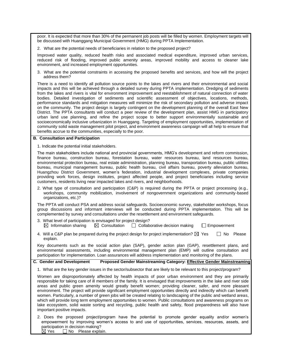poor. It is expected that more than 30% of the permanent job posts will be filled by women. Employment targets will be discussed with Huanggang Municipal Government (HMG) during PPTA Implementation.

2. What are the potential needs of beneficiaries in relation to the proposed project?

Improved water quality, reduced health risks and associated medical expenditure, improved urban services, reduced risk of flooding, improved public amenity areas, improved mobility and access to cleaner lake environment, and increased employment opportunities.

3. What are the potential constraints in accessing the proposed benefits and services, and how will the project address them?

There is a need to identify all pollution source points to the lakes and rivers and their environmental and social impacts and this will be achieved through a detailed survey during PPTA implementation. Dredging of sediments from the lakes and rivers is vital for environment improvement and reestablishment of natural connection of water bodies. Detailed investigation of sediments and scientific assessment of objectives, locations, methods, performance standards and mitigation measures will minimize the risk of secondary pollution and adverse impact on the community. The project design is largely contingent on the development planning of the overall East New District. The PPTA consultants will conduct a peer review of the development plan, assist HMG in participatory urban land use planning, and refine the project scope to better support environmentally sustainable and socioeconomically inclusive urbanization in Huanggang. Targeting of employment opportunities, implementation of community solid waste management pilot project, and environment awareness campaign will all help to ensure that benefits accrue to the communities, especially to the poor.

### **B. Consultation and Participation**

1. Indicate the potential initial stakeholders.

The main stakeholders include national and provincial governments, HMG's development and reform commission, finance bureau, construction bureau, forestation bureau, water resources bureau, land resources bureau, environmental protection bureau, real estate administration, planning bureau, transportation bureau, public utilities bureau, municipal management bureau, public health bureau, civil affairs bureau, poverty alleviation bureau, Huangzhou District Government, women's federation, industrial development complexes, private companies providing work forces, design institutes, project affected people, and project beneficiaries including service customers, residents living near impacted lakes and rivers, and neighborhoods.

2. What type of consultation and participation (C&P) is required during the PPTA or project processing (e.g., workshops, community mobilization, involvement of nongovernment organizations and community-based organizations, etc.)?

The PPTA will conduct PSA and address social safeguards. Socioeconomic survey, stakeholder workshops, focus group discussions and informant interviews will be conducted during PPTA implementation. This will be complemented by survey and consultations under the resettlement and environment safeguards.

- 3. What level of participation is envisaged for project design?  $\boxtimes$  Information sharing  $\boxtimes$  Consultation  $\Box$  Collaborative decision making  $\Box$  Empowerment
- 4. Will a C&P plan be prepared during the project design for project implementation?  $\boxtimes$  Yes  $\Box$  No Please explain.

Key documents such as the social action plan (SAP), gender action plan (GAP), resettlement plans, and environmental assessments, including environmental management plan (EMP) will outline consultation and participation for implementation. Loan assurances will address implementation and monitoring of the plans.

**C. Gender and Development Proposed Gender Mainstreaming Category: Effective Gender Mainstreaming**

1. What are the key gender issues in the sector/subsector that are likely to be relevant to this project/program?

Women are disproportionately affected by health impacts of poor urban environment and they are primarily responsible for taking care of ill members of the family. It is envisaged that improvements in the lake and river side areas and public green amenity would greatly benefit women; providing cleaner, safer, and more pleasant environment. The project will provide significant employment opportunities directly and indirectly which can benefit women. Particularly, a number of green jobs will be created relating to landscaping of the public and wetland areas, which will provide long term employment opportunities to women. Public consultations and awareness programs on lake ecosystem, solid waste sorting and recycling, public health and safety, flood preparedness will also have important positive impacts.

2. Does the proposed project/program have the potential to promote gender equality and/or women's empowerment by improving women's access to and use of opportunities, services, resources, assets, and participation in decision making?<br> $\boxtimes$  Yes  $\qquad \Box$  No Please expla

 $\Box$  No Please explain.